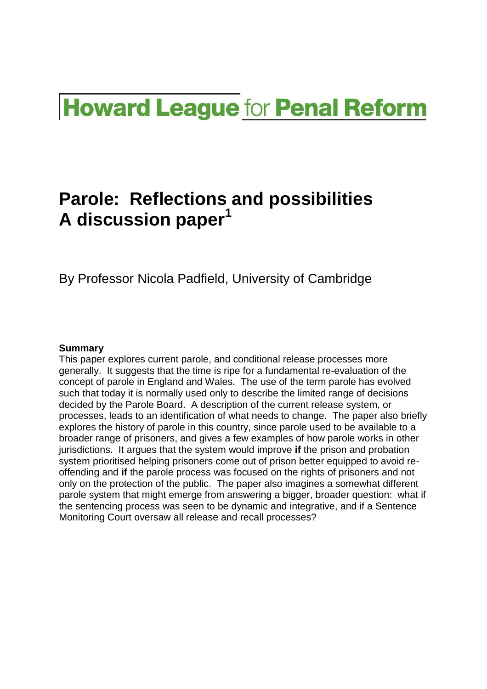# **Howard League for Penal Reform**

## **Parole: Reflections and possibilities A discussion paper<sup>1</sup>**

By Professor Nicola Padfield, University of Cambridge

#### **Summary**

This paper explores current parole, and conditional release processes more generally. It suggests that the time is ripe for a fundamental re-evaluation of the concept of parole in England and Wales. The use of the term parole has evolved such that today it is normally used only to describe the limited range of decisions decided by the Parole Board. A description of the current release system, or processes, leads to an identification of what needs to change. The paper also briefly explores the history of parole in this country, since parole used to be available to a broader range of prisoners, and gives a few examples of how parole works in other jurisdictions. It argues that the system would improve **if** the prison and probation system prioritised helping prisoners come out of prison better equipped to avoid reoffending and **if** the parole process was focused on the rights of prisoners and not only on the protection of the public. The paper also imagines a somewhat different parole system that might emerge from answering a bigger, broader question: what if the sentencing process was seen to be dynamic and integrative, and if a Sentence Monitoring Court oversaw all release and recall processes?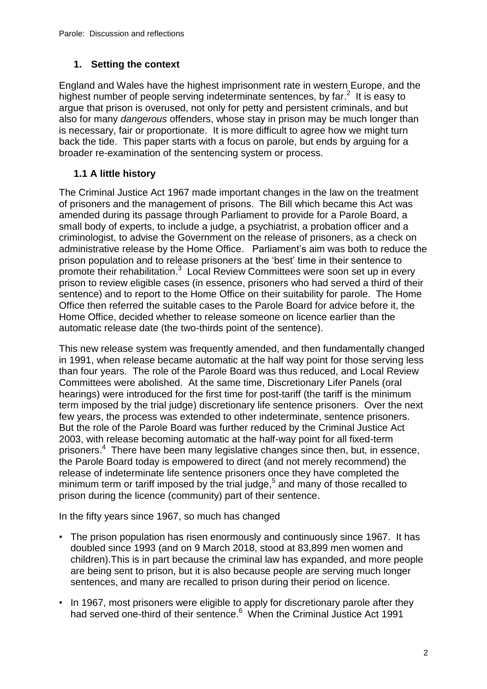#### **1. Setting the context**

England and Wales have the highest imprisonment rate in western Europe, and the highest number of people serving indeterminate sentences, by far.<sup>2</sup> It is easy to argue that prison is overused, not only for petty and persistent criminals, and but also for many *dangerous* offenders, whose stay in prison may be much longer than is necessary, fair or proportionate. It is more difficult to agree how we might turn back the tide. This paper starts with a focus on parole, but ends by arguing for a broader re-examination of the sentencing system or process.

#### **1.1 A little history**

The Criminal Justice Act 1967 made important changes in the law on the treatment of prisoners and the management of prisons. The Bill which became this Act was amended during its passage through Parliament to provide for a Parole Board, a small body of experts, to include a judge, a psychiatrist, a probation officer and a criminologist, to advise the Government on the release of prisoners, as a check on administrative release by the Home Office. Parliament's aim was both to reduce the prison population and to release prisoners at the 'best' time in their sentence to promote their rehabilitation.<sup>3</sup> Local Review Committees were soon set up in every prison to review eligible cases (in essence, prisoners who had served a third of their sentence) and to report to the Home Office on their suitability for parole. The Home Office then referred the suitable cases to the Parole Board for advice before it, the Home Office, decided whether to release someone on licence earlier than the automatic release date (the two-thirds point of the sentence).

This new release system was frequently amended, and then fundamentally changed in 1991, when release became automatic at the half way point for those serving less than four years. The role of the Parole Board was thus reduced, and Local Review Committees were abolished. At the same time, Discretionary Lifer Panels (oral hearings) were introduced for the first time for post-tariff (the tariff is the minimum term imposed by the trial judge) discretionary life sentence prisoners. Over the next few years, the process was extended to other indeterminate, sentence prisoners. But the role of the Parole Board was further reduced by the Criminal Justice Act 2003, with release becoming automatic at the half-way point for all fixed-term prisoners.<sup>4</sup> There have been many legislative changes since then, but, in essence, the Parole Board today is empowered to direct (and not merely recommend) the release of indeterminate life sentence prisoners once they have completed the minimum term or tariff imposed by the trial judge, 5 and many of those recalled to prison during the licence (community) part of their sentence.

In the fifty years since 1967, so much has changed

- The prison population has risen enormously and continuously since 1967. It has doubled since 1993 (and on 9 March 2018, stood at 83,899 men women and children).This is in part because the criminal law has expanded, and more people are being sent to prison, but it is also because people are serving much longer sentences, and many are recalled to prison during their period on licence.
- In 1967, most prisoners were eligible to apply for discretionary parole after they had served one-third of their sentence.<sup>6</sup> When the Criminal Justice Act 1991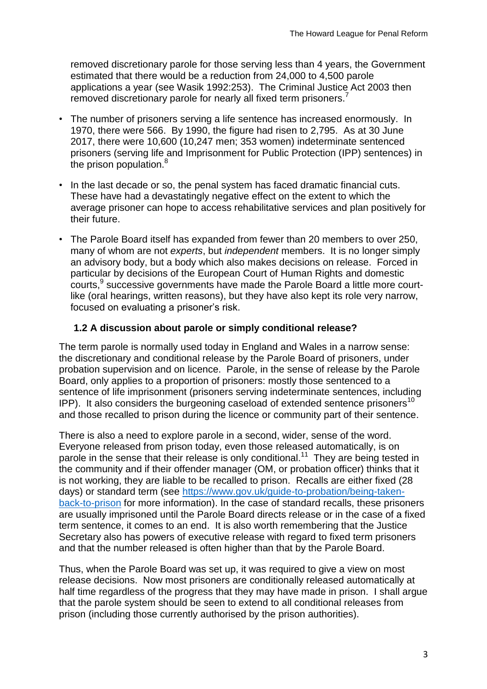removed discretionary parole for those serving less than 4 years, the Government estimated that there would be a reduction from 24,000 to 4,500 parole applications a year (see Wasik 1992:253). The Criminal Justice Act 2003 then removed discretionary parole for nearly all fixed term prisoners.

- The number of prisoners serving a life sentence has increased enormously. In 1970, there were 566. By 1990, the figure had risen to 2,795. As at 30 June 2017, there were 10,600 (10,247 men; 353 women) indeterminate sentenced prisoners (serving life and Imprisonment for Public Protection (IPP) sentences) in the prison population.<sup>8</sup>
- In the last decade or so, the penal system has faced dramatic financial cuts. These have had a devastatingly negative effect on the extent to which the average prisoner can hope to access rehabilitative services and plan positively for their future.
- The Parole Board itself has expanded from fewer than 20 members to over 250, many of whom are not *experts*, but *independent* members. It is no longer simply an advisory body, but a body which also makes decisions on release. Forced in particular by decisions of the European Court of Human Rights and domestic courts, 9 successive governments have made the Parole Board a little more courtlike (oral hearings, written reasons), but they have also kept its role very narrow, focused on evaluating a prisoner's risk.

#### **1.2 A discussion about parole or simply conditional release?**

The term parole is normally used today in England and Wales in a narrow sense: the discretionary and conditional release by the Parole Board of prisoners, under probation supervision and on licence. Parole, in the sense of release by the Parole Board, only applies to a proportion of prisoners: mostly those sentenced to a sentence of life imprisonment (prisoners serving indeterminate sentences, including IPP). It also considers the burgeoning caseload of extended sentence prisoners<sup>10</sup> and those recalled to prison during the licence or community part of their sentence.

There is also a need to explore parole in a second, wider, sense of the word. Everyone released from prison today, even those released automatically, is on parole in the sense that their release is only conditional.<sup>11</sup> They are being tested in the community and if their offender manager (OM, or probation officer) thinks that it is not working, they are liable to be recalled to prison. Recalls are either fixed (28 days) or standard term (see [https://www.gov.uk/guide-to-probation/being-taken](https://www.gov.uk/guide-to-probation/being-taken-back-to-prison)[back-to-prison](https://www.gov.uk/guide-to-probation/being-taken-back-to-prison) for more information). In the case of standard recalls, these prisoners are usually imprisoned until the Parole Board directs release or in the case of a fixed term sentence, it comes to an end. It is also worth remembering that the Justice Secretary also has powers of executive release with regard to fixed term prisoners and that the number released is often higher than that by the Parole Board.

Thus, when the Parole Board was set up, it was required to give a view on most release decisions. Now most prisoners are conditionally released automatically at half time regardless of the progress that they may have made in prison. I shall argue that the parole system should be seen to extend to all conditional releases from prison (including those currently authorised by the prison authorities).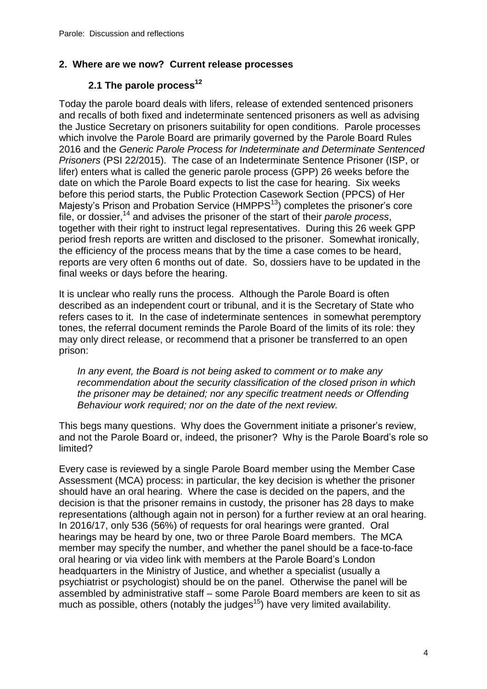#### **2. Where are we now? Current release processes**

### **2.1 The parole process<sup>12</sup>**

Today the parole board deals with lifers, release of extended sentenced prisoners and recalls of both fixed and indeterminate sentenced prisoners as well as advising the Justice Secretary on prisoners suitability for open conditions. Parole processes which involve the Parole Board are primarily governed by the Parole Board Rules 2016 and the *Generic Parole Process for Indeterminate and Determinate Sentenced Prisoners* (PSI 22/2015). The case of an Indeterminate Sentence Prisoner (ISP, or lifer) enters what is called the generic parole process (GPP) 26 weeks before the date on which the Parole Board expects to list the case for hearing. Six weeks before this period starts, the Public Protection Casework Section (PPCS) of Her Majesty's Prison and Probation Service ( $HMPPS<sup>13</sup>$ ) completes the prisoner's core file, or dossier, <sup>14</sup> and advises the prisoner of the start of their *parole process*, together with their right to instruct legal representatives. During this 26 week GPP period fresh reports are written and disclosed to the prisoner. Somewhat ironically, the efficiency of the process means that by the time a case comes to be heard, reports are very often 6 months out of date. So, dossiers have to be updated in the final weeks or days before the hearing.

It is unclear who really runs the process. Although the Parole Board is often described as an independent court or tribunal, and it is the Secretary of State who refers cases to it. In the case of indeterminate sentences in somewhat peremptory tones, the referral document reminds the Parole Board of the limits of its role: they may only direct release, or recommend that a prisoner be transferred to an open prison:

*In any event, the Board is not being asked to comment or to make any recommendation about the security classification of the closed prison in which the prisoner may be detained; nor any specific treatment needs or Offending Behaviour work required; nor on the date of the next review.*

This begs many questions. Why does the Government initiate a prisoner's review, and not the Parole Board or, indeed, the prisoner? Why is the Parole Board's role so limited?

Every case is reviewed by a single Parole Board member using the Member Case Assessment (MCA) process: in particular, the key decision is whether the prisoner should have an oral hearing. Where the case is decided on the papers, and the decision is that the prisoner remains in custody, the prisoner has 28 days to make representations (although again not in person) for a further review at an oral hearing. In 2016/17, only 536 (56%) of requests for oral hearings were granted. Oral hearings may be heard by one, two or three Parole Board members. The MCA member may specify the number, and whether the panel should be a face-to-face oral hearing or via video link with members at the Parole Board's London headquarters in the Ministry of Justice, and whether a specialist (usually a psychiatrist or psychologist) should be on the panel. Otherwise the panel will be assembled by administrative staff – some Parole Board members are keen to sit as much as possible, others (notably the judges<sup>15</sup>) have very limited availability.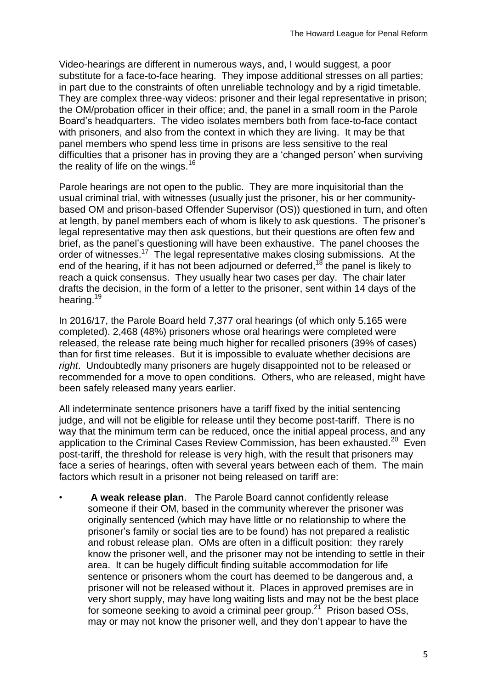Video-hearings are different in numerous ways, and, I would suggest, a poor substitute for a face-to-face hearing. They impose additional stresses on all parties; in part due to the constraints of often unreliable technology and by a rigid timetable. They are complex three-way videos: prisoner and their legal representative in prison; the OM/probation officer in their office; and, the panel in a small room in the Parole Board's headquarters. The video isolates members both from face-to-face contact with prisoners, and also from the context in which they are living. It may be that panel members who spend less time in prisons are less sensitive to the real difficulties that a prisoner has in proving they are a 'changed person' when surviving the reality of life on the wings.<sup>16</sup>

Parole hearings are not open to the public. They are more inquisitorial than the usual criminal trial, with witnesses (usually just the prisoner, his or her communitybased OM and prison-based Offender Supervisor (OS)) questioned in turn, and often at length, by panel members each of whom is likely to ask questions. The prisoner's legal representative may then ask questions, but their questions are often few and brief, as the panel's questioning will have been exhaustive. The panel chooses the order of witnesses.<sup>17</sup> The legal representative makes closing submissions. At the end of the hearing, if it has not been adjourned or deferred,<sup>18</sup> the panel is likely to reach a quick consensus. They usually hear two cases per day. The chair later drafts the decision, in the form of a letter to the prisoner, sent within 14 days of the hearing.<sup>19</sup>

In 2016/17, the Parole Board held 7,377 oral hearings (of which only 5,165 were completed). 2,468 (48%) prisoners whose oral hearings were completed were released, the release rate being much higher for recalled prisoners (39% of cases) than for first time releases. But it is impossible to evaluate whether decisions are *right*. Undoubtedly many prisoners are hugely disappointed not to be released or recommended for a move to open conditions. Others, who are released, might have been safely released many years earlier.

All indeterminate sentence prisoners have a tariff fixed by the initial sentencing judge, and will not be eligible for release until they become post-tariff. There is no way that the minimum term can be reduced, once the initial appeal process, and any application to the Criminal Cases Review Commission, has been exhausted.<sup>20</sup> Even post-tariff, the threshold for release is very high, with the result that prisoners may face a series of hearings, often with several years between each of them. The main factors which result in a prisoner not being released on tariff are:

• **A weak release plan**. The Parole Board cannot confidently release someone if their OM, based in the community wherever the prisoner was originally sentenced (which may have little or no relationship to where the prisoner's family or social ties are to be found) has not prepared a realistic and robust release plan. OMs are often in a difficult position: they rarely know the prisoner well, and the prisoner may not be intending to settle in their area. It can be hugely difficult finding suitable accommodation for life sentence or prisoners whom the court has deemed to be dangerous and, a prisoner will not be released without it. Places in approved premises are in very short supply, may have long waiting lists and may not be the best place for someone seeking to avoid a criminal peer group.<sup>21</sup> Prison based OSs, may or may not know the prisoner well, and they don't appear to have the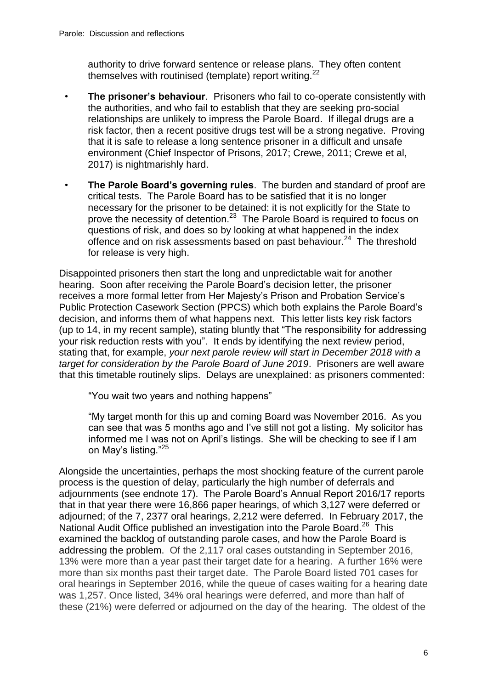authority to drive forward sentence or release plans. They often content themselves with routinised (template) report writing.<sup>22</sup>

- **The prisoner's behaviour**. Prisoners who fail to co-operate consistently with the authorities, and who fail to establish that they are seeking pro-social relationships are unlikely to impress the Parole Board. If illegal drugs are a risk factor, then a recent positive drugs test will be a strong negative. Proving that it is safe to release a long sentence prisoner in a difficult and unsafe environment (Chief Inspector of Prisons, 2017; Crewe, 2011; Crewe et al, 2017) is nightmarishly hard.
- **The Parole Board's governing rules**. The burden and standard of proof are critical tests. The Parole Board has to be satisfied that it is no longer necessary for the prisoner to be detained: it is not explicitly for the State to prove the necessity of detention.<sup>23</sup> The Parole Board is required to focus on questions of risk, and does so by looking at what happened in the index offence and on risk assessments based on past behaviour.<sup>24</sup> The threshold for release is very high.

Disappointed prisoners then start the long and unpredictable wait for another hearing. Soon after receiving the Parole Board's decision letter, the prisoner receives a more formal letter from Her Majesty's Prison and Probation Service's Public Protection Casework Section (PPCS) which both explains the Parole Board's decision, and informs them of what happens next. This letter lists key risk factors (up to 14, in my recent sample), stating bluntly that "The responsibility for addressing your risk reduction rests with you". It ends by identifying the next review period, stating that, for example, *your next parole review will start in December 2018 with a target for consideration by the Parole Board of June 2019*. Prisoners are well aware that this timetable routinely slips. Delays are unexplained: as prisoners commented:

"You wait two years and nothing happens"

"My target month for this up and coming Board was November 2016. As you can see that was 5 months ago and I've still not got a listing. My solicitor has informed me I was not on April's listings. She will be checking to see if I am on May's listing."<sup>25</sup>

Alongside the uncertainties, perhaps the most shocking feature of the current parole process is the question of delay, particularly the high number of deferrals and adjournments (see endnote 17). The Parole Board's Annual Report 2016/17 reports that in that year there were 16,866 paper hearings, of which 3,127 were deferred or adjourned; of the 7, 2377 oral hearings, 2,212 were deferred. In February 2017, the National Audit Office published an investigation into the Parole Board.<sup>26</sup> This examined the backlog of outstanding parole cases, and how the Parole Board is addressing the problem. Of the 2,117 oral cases outstanding in September 2016, 13% were more than a year past their target date for a hearing. A further 16% were more than six months past their target date. The Parole Board listed 701 cases for oral hearings in September 2016, while the queue of cases waiting for a hearing date was 1,257. Once listed, 34% oral hearings were deferred, and more than half of these (21%) were deferred or adjourned on the day of the hearing. The oldest of the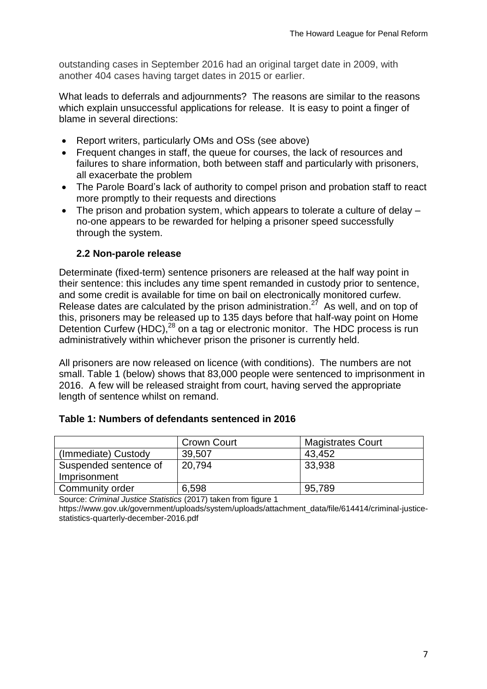outstanding cases in September 2016 had an original target date in 2009, with another 404 cases having target dates in 2015 or earlier.

What leads to deferrals and adjournments? The reasons are similar to the reasons which explain unsuccessful applications for release. It is easy to point a finger of blame in several directions:

- Report writers, particularly OMs and OSs (see above)
- Frequent changes in staff, the queue for courses, the lack of resources and failures to share information, both between staff and particularly with prisoners, all exacerbate the problem
- The Parole Board's lack of authority to compel prison and probation staff to react more promptly to their requests and directions
- The prison and probation system, which appears to tolerate a culture of delay no-one appears to be rewarded for helping a prisoner speed successfully through the system.

#### **2.2 Non-parole release**

Determinate (fixed-term) sentence prisoners are released at the half way point in their sentence: this includes any time spent remanded in custody prior to sentence, and some credit is available for time on bail on electronically monitored curfew. Release dates are calculated by the prison administration.<sup>27</sup> As well, and on top of this, prisoners may be released up to 135 days before that half-way point on Home Detention Curfew (HDC),<sup>28</sup> on a tag or electronic monitor. The HDC process is run administratively within whichever prison the prisoner is currently held.

All prisoners are now released on licence (with conditions). The numbers are not small. Table 1 (below) shows that 83,000 people were sentenced to imprisonment in 2016. A few will be released straight from court, having served the appropriate length of sentence whilst on remand.

|  |  | Table 1: Numbers of defendants sentenced in 2016 |
|--|--|--------------------------------------------------|
|--|--|--------------------------------------------------|

|                       | <b>Crown Court</b> | <b>Magistrates Court</b> |
|-----------------------|--------------------|--------------------------|
| (Immediate) Custody   | 39,507             | 43,452                   |
| Suspended sentence of | 20,794             | 33,938                   |
| Imprisonment          |                    |                          |
| Community order       | 6,598              | 95,789                   |

Source: *Criminal Justice Statistics* (2017) taken from figure 1

https://www.gov.uk/government/uploads/system/uploads/attachment\_data/file/614414/criminal-justicestatistics-quarterly-december-2016.pdf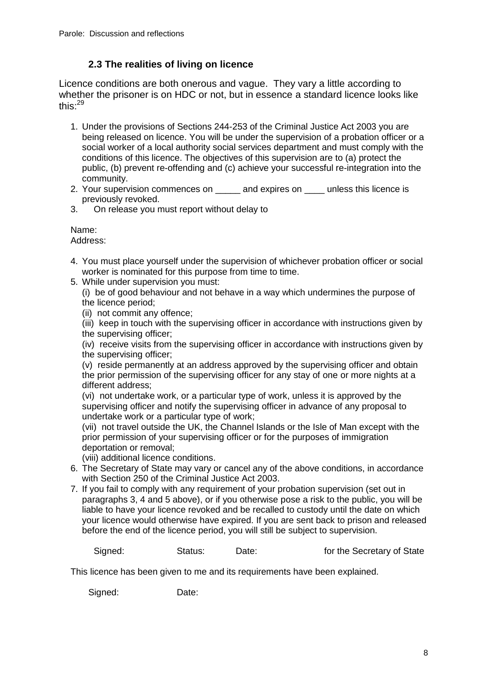#### **2.3 The realities of living on licence**

Licence conditions are both onerous and vague. They vary a little according to whether the prisoner is on HDC or not, but in essence a standard licence looks like this:<sup>29</sup>

- 1. Under the provisions of Sections 244-253 of the Criminal Justice Act 2003 you are being released on licence. You will be under the supervision of a probation officer or a social worker of a local authority social services department and must comply with the conditions of this licence. The objectives of this supervision are to (a) protect the public, (b) prevent re-offending and (c) achieve your successful re-integration into the community.
- 2. Your supervision commences on \_\_\_\_\_ and expires on \_\_\_\_ unless this licence is previously revoked.
- 3. On release you must report without delay to

#### Name:

Address:

- 4. You must place yourself under the supervision of whichever probation officer or social worker is nominated for this purpose from time to time.
- 5. While under supervision you must:
	- (i) be of good behaviour and not behave in a way which undermines the purpose of the licence period;
	- (ii) not commit any offence;
	- (iii) keep in touch with the supervising officer in accordance with instructions given by the supervising officer;

(iv) receive visits from the supervising officer in accordance with instructions given by the supervising officer;

(v) reside permanently at an address approved by the supervising officer and obtain the prior permission of the supervising officer for any stay of one or more nights at a different address;

(vi) not undertake work, or a particular type of work, unless it is approved by the supervising officer and notify the supervising officer in advance of any proposal to undertake work or a particular type of work;

(vii) not travel outside the UK, the Channel Islands or the Isle of Man except with the prior permission of your supervising officer or for the purposes of immigration deportation or removal;

(viii) additional licence conditions.

- 6. The Secretary of State may vary or cancel any of the above conditions, in accordance with Section 250 of the Criminal Justice Act 2003.
- 7. If you fail to comply with any requirement of your probation supervision (set out in paragraphs 3, 4 and 5 above), or if you otherwise pose a risk to the public, you will be liable to have your licence revoked and be recalled to custody until the date on which your licence would otherwise have expired. If you are sent back to prison and released before the end of the licence period, you will still be subject to supervision.

Signed: Status: Date: 15 Status: Date: 15 State Secretary of State

This licence has been given to me and its requirements have been explained.

Signed: Date: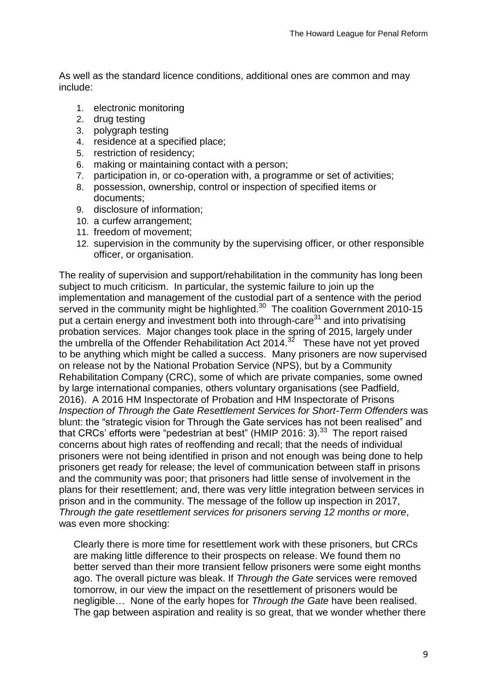As well as the standard licence conditions, additional ones are common and may include:

- 1. electronic monitoring
- 2. drug testing
- 3. polygraph testing
- 4. residence at a specified place;
- 5. restriction of residency;
- 6. making or maintaining contact with a person;
- 7. participation in, or co-operation with, a programme or set of activities;
- 8. possession, ownership, control or inspection of specified items or documents;
- 9. disclosure of information;
- 10. a curfew arrangement;
- 11. freedom of movement;
- 12. supervision in the community by the supervising officer, or other responsible officer, or organisation.

The reality of supervision and support/rehabilitation in the community has long been subject to much criticism. In particular, the systemic failure to join up the implementation and management of the custodial part of a sentence with the period served in the community might be highlighted.<sup>30</sup> The coalition Government 2010-15 put a certain energy and investment both into through-care $31$  and into privatising probation services. Major changes took place in the spring of 2015, largely under the umbrella of the Offender Rehabilitation Act 2014. $32$  These have not yet proved to be anything which might be called a success. Many prisoners are now supervised on release not by the National Probation Service (NPS), but by a Community Rehabilitation Company (CRC), some of which are private companies, some owned by large international companies, others voluntary organisations (see Padfield, 2016). A 2016 HM Inspectorate of Probation and HM Inspectorate of Prisons *Inspection of Through the Gate Resettlement Services for Short-Term Offenders* was blunt: the "strategic vision for Through the Gate services has not been realised" and that CRCs' efforts were "pedestrian at best" (HMIP 2016: 3).<sup>33</sup> The report raised concerns about high rates of reoffending and recall; that the needs of individual prisoners were not being identified in prison and not enough was being done to help prisoners get ready for release; the level of communication between staff in prisons and the community was poor; that prisoners had little sense of involvement in the plans for their resettlement; and, there was very little integration between services in prison and in the community. The message of the follow up inspection in 2017, *Through the gate resettlement services for prisoners serving 12 months or more*, was even more shocking:

Clearly there is more time for resettlement work with these prisoners, but CRCs are making little difference to their prospects on release. We found them no better served than their more transient fellow prisoners were some eight months ago. The overall picture was bleak. If *Through the Gate* services were removed tomorrow, in our view the impact on the resettlement of prisoners would be negligible… None of the early hopes for *Through the Gate* have been realised. The gap between aspiration and reality is so great, that we wonder whether there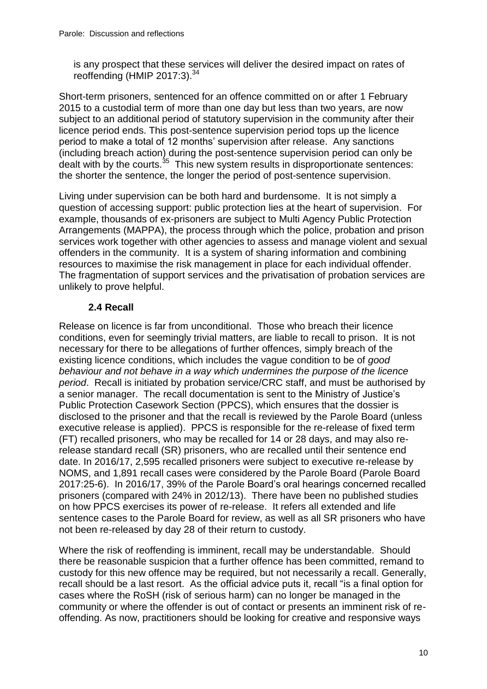is any prospect that these services will deliver the desired impact on rates of reoffending (HMIP 2017:3).<sup>34</sup>

Short-term prisoners, sentenced for an offence committed on or after 1 February 2015 to a custodial term of more than one day but less than two years, are now subject to an additional period of statutory supervision in the community after their licence period ends. This post-sentence supervision period tops up the licence period to make a total of 12 months' supervision after release. Any sanctions (including breach action) during the post-sentence supervision period can only be dealt with by the courts. $35$  This new system results in disproportionate sentences: the shorter the sentence, the longer the period of post-sentence supervision.

Living under supervision can be both hard and burdensome. It is not simply a question of accessing support: public protection lies at the heart of supervision. For example, thousands of ex-prisoners are subject to Multi Agency Public Protection Arrangements (MAPPA), the process through which the police, probation and prison services work together with other agencies to assess and manage violent and sexual offenders in the community. It is a system of sharing information and combining resources to maximise the risk management in place for each individual offender. The fragmentation of support services and the privatisation of probation services are unlikely to prove helpful.

#### **2.4 Recall**

Release on licence is far from unconditional. Those who breach their licence conditions, even for seemingly trivial matters, are liable to recall to prison. It is not necessary for there to be allegations of further offences, simply breach of the existing licence conditions, which includes the vague condition to be of *good behaviour and not behave in a way which undermines the purpose of the licence period*. Recall is initiated by probation service/CRC staff, and must be authorised by a senior manager. The recall documentation is sent to the Ministry of Justice's Public Protection Casework Section (PPCS), which ensures that the dossier is disclosed to the prisoner and that the recall is reviewed by the Parole Board (unless executive release is applied). PPCS is responsible for the re-release of fixed term (FT) recalled prisoners, who may be recalled for 14 or 28 days, and may also rerelease standard recall (SR) prisoners, who are recalled until their sentence end date. In 2016/17, 2,595 recalled prisoners were subject to executive re-release by NOMS, and 1,891 recall cases were considered by the Parole Board (Parole Board 2017:25-6). In 2016/17, 39% of the Parole Board's oral hearings concerned recalled prisoners (compared with 24% in 2012/13). There have been no published studies on how PPCS exercises its power of re-release. It refers all extended and life sentence cases to the Parole Board for review, as well as all SR prisoners who have not been re-released by day 28 of their return to custody.

Where the risk of reoffending is imminent, recall may be understandable. Should there be reasonable suspicion that a further offence has been committed, remand to custody for this new offence may be required, but not necessarily a recall. Generally, recall should be a last resort. As the official advice puts it, recall "is a final option for cases where the RoSH (risk of serious harm) can no longer be managed in the community or where the offender is out of contact or presents an imminent risk of reoffending. As now, practitioners should be looking for creative and responsive ways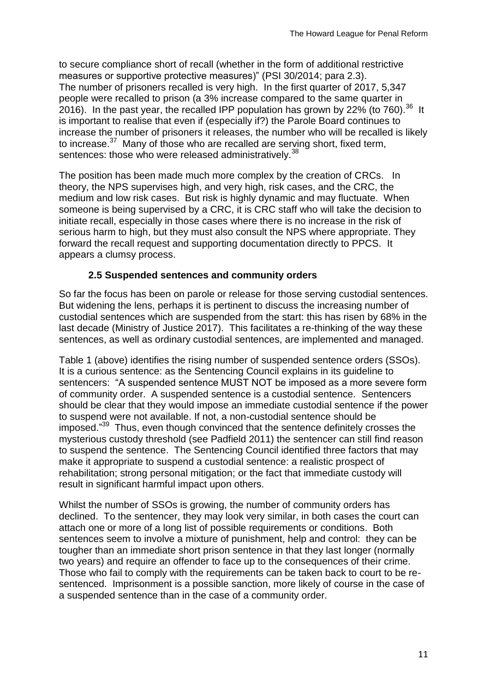to secure compliance short of recall (whether in the form of additional restrictive measures or supportive protective measures)" (PSI 30/2014; para 2.3). The number of prisoners recalled is very high. In the first quarter of 2017, 5,347 people were recalled to prison (a 3% increase compared to the same quarter in 2016). In the past year, the recalled IPP population has grown by 22% (to 760).<sup>36</sup> It is important to realise that even if (especially if?) the Parole Board continues to increase the number of prisoners it releases, the number who will be recalled is likely to increase.<sup>37</sup> Many of those who are recalled are serving short, fixed term, sentences: those who were released administratively.<sup>38</sup>

The position has been made much more complex by the creation of CRCs. In theory, the NPS supervises high, and very high, risk cases, and the CRC, the medium and low risk cases. But risk is highly dynamic and may fluctuate. When someone is being supervised by a CRC, it is CRC staff who will take the decision to initiate recall, especially in those cases where there is no increase in the risk of serious harm to high, but they must also consult the NPS where appropriate. They forward the recall request and supporting documentation directly to PPCS. It appears a clumsy process.

#### **2.5 Suspended sentences and community orders**

So far the focus has been on parole or release for those serving custodial sentences. But widening the lens, perhaps it is pertinent to discuss the increasing number of custodial sentences which are suspended from the start: this has risen by 68% in the last decade (Ministry of Justice 2017). This facilitates a re-thinking of the way these sentences, as well as ordinary custodial sentences, are implemented and managed.

Table 1 (above) identifies the rising number of suspended sentence orders (SSOs). It is a curious sentence: as the Sentencing Council explains in its guideline to sentencers: "A suspended sentence MUST NOT be imposed as a more severe form of community order. A suspended sentence is a custodial sentence. Sentencers should be clear that they would impose an immediate custodial sentence if the power to suspend were not available. If not, a non-custodial sentence should be imposed."<sup>39</sup> Thus, even though convinced that the sentence definitely crosses the mysterious custody threshold (see Padfield 2011) the sentencer can still find reason to suspend the sentence. The Sentencing Council identified three factors that may make it appropriate to suspend a custodial sentence: a realistic prospect of rehabilitation; strong personal mitigation; or the fact that immediate custody will result in significant harmful impact upon others.

Whilst the number of SSOs is growing, the number of community orders has declined. To the sentencer, they may look very similar, in both cases the court can attach one or more of a long list of possible requirements or conditions. Both sentences seem to involve a mixture of punishment, help and control: they can be tougher than an immediate short prison sentence in that they last longer (normally two years) and require an offender to face up to the consequences of their crime. Those who fail to comply with the requirements can be taken back to court to be resentenced. Imprisonment is a possible sanction, more likely of course in the case of a suspended sentence than in the case of a community order.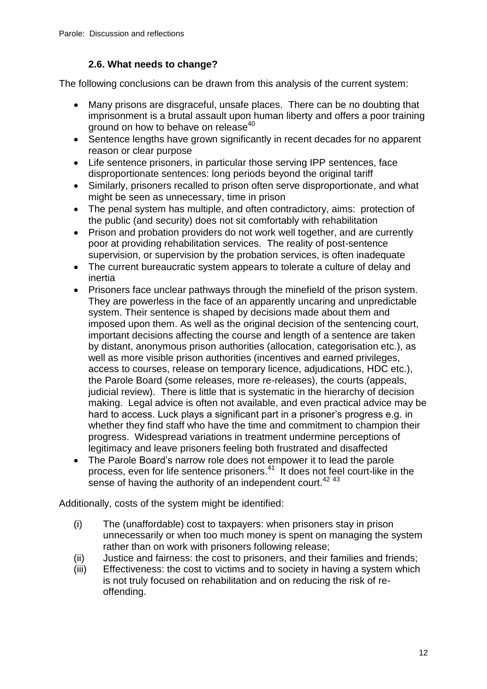#### **2.6. What needs to change?**

The following conclusions can be drawn from this analysis of the current system:

- Many prisons are disgraceful, unsafe places. There can be no doubting that imprisonment is a brutal assault upon human liberty and offers a poor training ground on how to behave on release<sup>40</sup>
- Sentence lengths have grown significantly in recent decades for no apparent reason or clear purpose
- Life sentence prisoners, in particular those serving IPP sentences, face disproportionate sentences: long periods beyond the original tariff
- Similarly, prisoners recalled to prison often serve disproportionate, and what might be seen as unnecessary, time in prison
- The penal system has multiple, and often contradictory, aims: protection of the public (and security) does not sit comfortably with rehabilitation
- Prison and probation providers do not work well together, and are currently poor at providing rehabilitation services. The reality of post-sentence supervision, or supervision by the probation services, is often inadequate
- The current bureaucratic system appears to tolerate a culture of delay and inertia
- Prisoners face unclear pathways through the minefield of the prison system. They are powerless in the face of an apparently uncaring and unpredictable system. Their sentence is shaped by decisions made about them and imposed upon them. As well as the original decision of the sentencing court, important decisions affecting the course and length of a sentence are taken by distant, anonymous prison authorities (allocation, categorisation etc.), as well as more visible prison authorities (incentives and earned privileges, access to courses, release on temporary licence, adjudications, HDC etc.), the Parole Board (some releases, more re-releases), the courts (appeals, judicial review). There is little that is systematic in the hierarchy of decision making. Legal advice is often not available, and even practical advice may be hard to access. Luck plays a significant part in a prisoner's progress e.g. in whether they find staff who have the time and commitment to champion their progress. Widespread variations in treatment undermine perceptions of legitimacy and leave prisoners feeling both frustrated and disaffected
- The Parole Board's narrow role does not empower it to lead the parole process, even for life sentence prisoners.<sup>41</sup> It does not feel court-like in the sense of having the authority of an independent court.<sup>42 43</sup>

Additionally, costs of the system might be identified:

- (i) The (unaffordable) cost to taxpayers: when prisoners stay in prison unnecessarily or when too much money is spent on managing the system rather than on work with prisoners following release;
- (ii) Justice and fairness: the cost to prisoners, and their families and friends;
- (iii) Effectiveness: the cost to victims and to society in having a system which is not truly focused on rehabilitation and on reducing the risk of reoffending.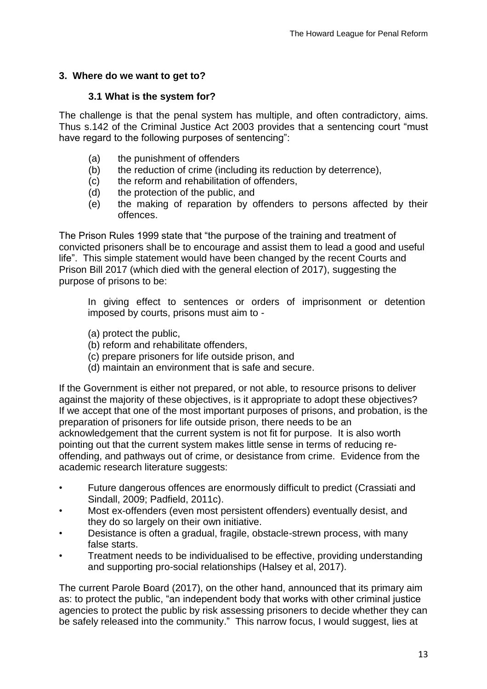#### **3. Where do we want to get to?**

#### **3.1 What is the system for?**

The challenge is that the penal system has multiple, and often contradictory, aims. Thus s.142 of the Criminal Justice Act 2003 provides that a sentencing court "must have regard to the following purposes of sentencing":

- (a) the punishment of offenders
- (b) the reduction of crime (including its reduction by deterrence),
- (c) the reform and rehabilitation of offenders,
- (d) the protection of the public, and
- (e) the making of reparation by offenders to persons affected by their offences.

The Prison Rules 1999 state that "the purpose of the training and treatment of convicted prisoners shall be to encourage and assist them to lead a good and useful life". This simple statement would have been changed by the recent Courts and Prison Bill 2017 (which died with the general election of 2017), suggesting the purpose of prisons to be:

In giving effect to sentences or orders of imprisonment or detention imposed by courts, prisons must aim to -

- (a) protect the public,
- (b) reform and rehabilitate offenders,
- (c) prepare prisoners for life outside prison, and
- (d) maintain an environment that is safe and secure.

If the Government is either not prepared, or not able, to resource prisons to deliver against the majority of these objectives, is it appropriate to adopt these objectives? If we accept that one of the most important purposes of prisons, and probation, is the preparation of prisoners for life outside prison, there needs to be an acknowledgement that the current system is not fit for purpose. It is also worth pointing out that the current system makes little sense in terms of reducing reoffending, and pathways out of crime, or desistance from crime. Evidence from the academic research literature suggests:

- Future dangerous offences are enormously difficult to predict (Crassiati and Sindall, 2009; Padfield, 2011c).
- Most ex-offenders (even most persistent offenders) eventually desist, and they do so largely on their own initiative.
- Desistance is often a gradual, fragile, obstacle-strewn process, with many false starts.
- Treatment needs to be individualised to be effective, providing understanding and supporting pro-social relationships (Halsey et al, 2017).

The current Parole Board (2017), on the other hand, announced that its primary aim as: to protect the public, "an independent body that works with other criminal justice agencies to protect the public by risk assessing prisoners to decide whether they can be safely released into the community." This narrow focus, I would suggest, lies at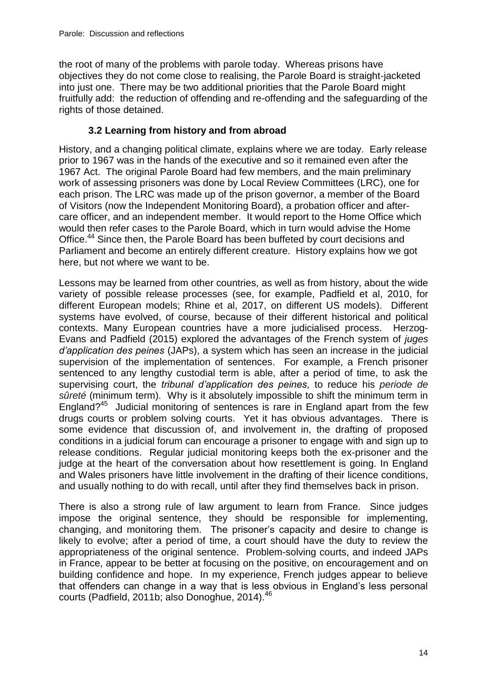the root of many of the problems with parole today. Whereas prisons have objectives they do not come close to realising, the Parole Board is straight-jacketed into just one. There may be two additional priorities that the Parole Board might fruitfully add: the reduction of offending and re-offending and the safeguarding of the rights of those detained.

#### **3.2 Learning from history and from abroad**

History, and a changing political climate, explains where we are today. Early release prior to 1967 was in the hands of the executive and so it remained even after the 1967 Act. The original Parole Board had few members, and the main preliminary work of assessing prisoners was done by Local Review Committees (LRC), one for each prison. The LRC was made up of the prison governor, a member of the Board of Visitors (now the Independent Monitoring Board), a probation officer and aftercare officer, and an independent member. It would report to the Home Office which would then refer cases to the Parole Board, which in turn would advise the Home Office.<sup>44</sup> Since then, the Parole Board has been buffeted by court decisions and Parliament and become an entirely different creature. History explains how we got here, but not where we want to be.

Lessons may be learned from other countries, as well as from history, about the wide variety of possible release processes (see, for example, Padfield et al, 2010, for different European models; Rhine et al, 2017, on different US models). Different systems have evolved, of course, because of their different historical and political contexts. Many European countries have a more judicialised process. Herzog-Evans and Padfield (2015) explored the advantages of the French system of *juges d'application des peines* (JAPs), a system which has seen an increase in the judicial supervision of the implementation of sentences. For example, a French prisoner sentenced to any lengthy custodial term is able, after a period of time, to ask the supervising court, the *tribunal d'application des peines,* to reduce his *periode de sûreté* (minimum term). Why is it absolutely impossible to shift the minimum term in England?<sup>45</sup> Judicial monitoring of sentences is rare in England apart from the few drugs courts or problem solving courts. Yet it has obvious advantages. There is some evidence that discussion of, and involvement in, the drafting of proposed conditions in a judicial forum can encourage a prisoner to engage with and sign up to release conditions. Regular judicial monitoring keeps both the ex-prisoner and the judge at the heart of the conversation about how resettlement is going. In England and Wales prisoners have little involvement in the drafting of their licence conditions, and usually nothing to do with recall, until after they find themselves back in prison.

There is also a strong rule of law argument to learn from France. Since judges impose the original sentence, they should be responsible for implementing, changing, and monitoring them. The prisoner's capacity and desire to change is likely to evolve; after a period of time, a court should have the duty to review the appropriateness of the original sentence. Problem-solving courts, and indeed JAPs in France, appear to be better at focusing on the positive, on encouragement and on building confidence and hope. In my experience, French judges appear to believe that offenders can change in a way that is less obvious in England's less personal courts (Padfield, 2011b; also Donoghue, 2014).<sup>46</sup>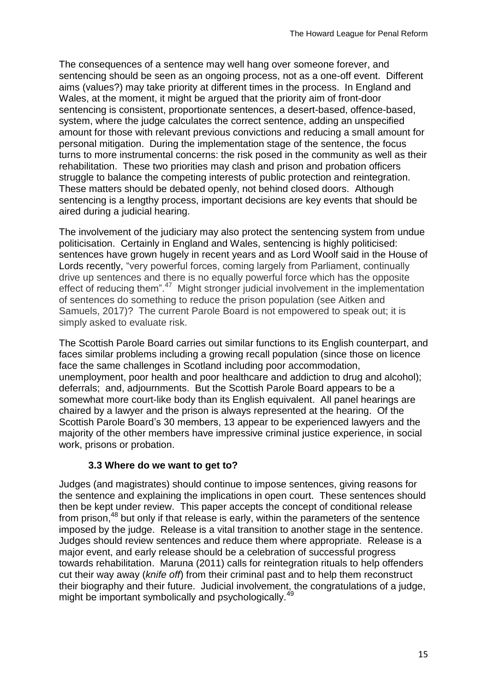The consequences of a sentence may well hang over someone forever, and sentencing should be seen as an ongoing process, not as a one-off event. Different aims (values?) may take priority at different times in the process. In England and Wales, at the moment, it might be argued that the priority aim of front-door sentencing is consistent, proportionate sentences, a desert-based, offence-based, system, where the judge calculates the correct sentence, adding an unspecified amount for those with relevant previous convictions and reducing a small amount for personal mitigation. During the implementation stage of the sentence, the focus turns to more instrumental concerns: the risk posed in the community as well as their rehabilitation. These two priorities may clash and prison and probation officers struggle to balance the competing interests of public protection and reintegration. These matters should be debated openly, not behind closed doors. Although sentencing is a lengthy process, important decisions are key events that should be aired during a judicial hearing.

The involvement of the judiciary may also protect the sentencing system from undue politicisation. Certainly in England and Wales, sentencing is highly politicised: sentences have grown hugely in recent years and as Lord Woolf said in the House of Lords recently, "very powerful forces, coming largely from Parliament, continually drive up sentences and there is no equally powerful force which has the opposite effect of reducing them".<sup>47</sup> Might stronger judicial involvement in the implementation of sentences do something to reduce the prison population (see Aitken and Samuels, 2017)? The current Parole Board is not empowered to speak out; it is simply asked to evaluate risk.

The Scottish Parole Board carries out similar functions to its English counterpart, and faces similar problems including a growing recall population (since those on licence face the same challenges in Scotland including poor accommodation, unemployment, poor health and poor healthcare and addiction to drug and alcohol); deferrals; and, adjournments. But the Scottish Parole Board appears to be a somewhat more court-like body than its English equivalent. All panel hearings are chaired by a lawyer and the prison is always represented at the hearing. Of the Scottish Parole Board's 30 members, 13 appear to be experienced lawyers and the majority of the other members have impressive criminal justice experience, in social work, prisons or probation.

#### **3.3 Where do we want to get to?**

Judges (and magistrates) should continue to impose sentences, giving reasons for the sentence and explaining the implications in open court. These sentences should then be kept under review. This paper accepts the concept of conditional release from prison,<sup>48</sup> but only if that release is early, within the parameters of the sentence imposed by the judge. Release is a vital transition to another stage in the sentence. Judges should review sentences and reduce them where appropriate. Release is a major event, and early release should be a celebration of successful progress towards rehabilitation. Maruna (2011) calls for reintegration rituals to help offenders cut their way away (*knife off*) from their criminal past and to help them reconstruct their biography and their future. Judicial involvement, the congratulations of a judge, might be important symbolically and psychologically.<sup>49</sup>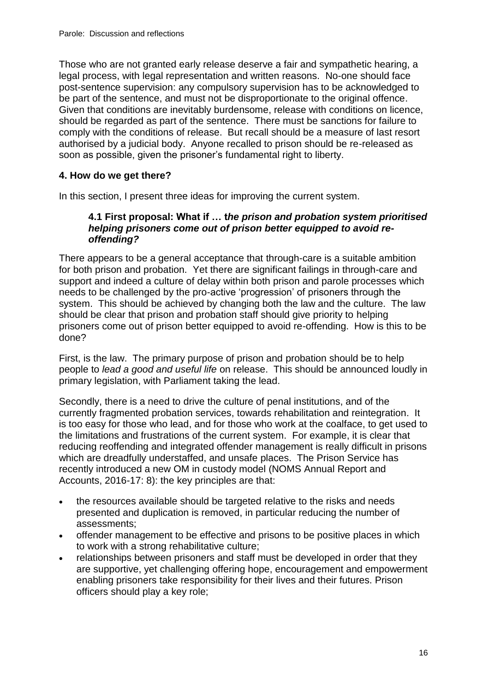Those who are not granted early release deserve a fair and sympathetic hearing, a legal process, with legal representation and written reasons. No-one should face post-sentence supervision: any compulsory supervision has to be acknowledged to be part of the sentence, and must not be disproportionate to the original offence. Given that conditions are inevitably burdensome, release with conditions on licence, should be regarded as part of the sentence. There must be sanctions for failure to comply with the conditions of release. But recall should be a measure of last resort authorised by a judicial body. Anyone recalled to prison should be re-released as soon as possible, given the prisoner's fundamental right to liberty.

#### **4. How do we get there?**

In this section, I present three ideas for improving the current system.

#### **4.1 First proposal: What if … t***he prison and probation system prioritised helping prisoners come out of prison better equipped to avoid reoffending?*

There appears to be a general acceptance that through-care is a suitable ambition for both prison and probation. Yet there are significant failings in through-care and support and indeed a culture of delay within both prison and parole processes which needs to be challenged by the pro-active 'progression' of prisoners through the system. This should be achieved by changing both the law and the culture. The law should be clear that prison and probation staff should give priority to helping prisoners come out of prison better equipped to avoid re-offending. How is this to be done?

First, is the law. The primary purpose of prison and probation should be to help people to *lead a good and useful life* on release. This should be announced loudly in primary legislation, with Parliament taking the lead.

Secondly, there is a need to drive the culture of penal institutions, and of the currently fragmented probation services, towards rehabilitation and reintegration. It is too easy for those who lead, and for those who work at the coalface, to get used to the limitations and frustrations of the current system. For example, it is clear that reducing reoffending and integrated offender management is really difficult in prisons which are dreadfully understaffed, and unsafe places. The Prison Service has recently introduced a new OM in custody model (NOMS Annual Report and Accounts, 2016-17: 8): the key principles are that:

- the resources available should be targeted relative to the risks and needs presented and duplication is removed, in particular reducing the number of assessments;
- offender management to be effective and prisons to be positive places in which to work with a strong rehabilitative culture;
- relationships between prisoners and staff must be developed in order that they are supportive, yet challenging offering hope, encouragement and empowerment enabling prisoners take responsibility for their lives and their futures. Prison officers should play a key role;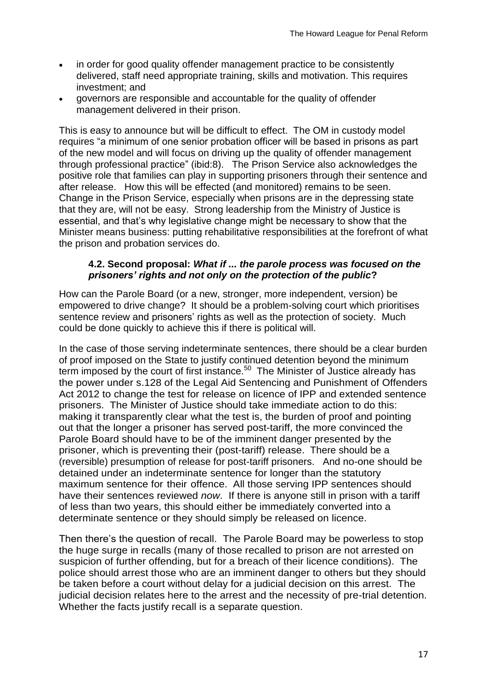- in order for good quality offender management practice to be consistently delivered, staff need appropriate training, skills and motivation. This requires investment; and
- governors are responsible and accountable for the quality of offender management delivered in their prison.

This is easy to announce but will be difficult to effect. The OM in custody model requires "a minimum of one senior probation officer will be based in prisons as part of the new model and will focus on driving up the quality of offender management through professional practice" (ibid:8). The Prison Service also acknowledges the positive role that families can play in supporting prisoners through their sentence and after release. How this will be effected (and monitored) remains to be seen. Change in the Prison Service, especially when prisons are in the depressing state that they are, will not be easy. Strong leadership from the Ministry of Justice is essential, and that's why legislative change might be necessary to show that the Minister means business: putting rehabilitative responsibilities at the forefront of what the prison and probation services do.

#### **4.2. Second proposal:** *What if ... the parole process was focused on the prisoners' rights and not only on the protection of the public***?**

How can the Parole Board (or a new, stronger, more independent, version) be empowered to drive change? It should be a problem-solving court which prioritises sentence review and prisoners' rights as well as the protection of society. Much could be done quickly to achieve this if there is political will.

In the case of those serving indeterminate sentences, there should be a clear burden of proof imposed on the State to justify continued detention beyond the minimum term imposed by the court of first instance. $50$  The Minister of Justice already has the power under s.128 of the Legal Aid Sentencing and Punishment of Offenders Act 2012 to change the test for release on licence of IPP and extended sentence prisoners. The Minister of Justice should take immediate action to do this: making it transparently clear what the test is, the burden of proof and pointing out that the longer a prisoner has served post-tariff, the more convinced the Parole Board should have to be of the imminent danger presented by the prisoner, which is preventing their (post-tariff) release. There should be a (reversible) presumption of release for post-tariff prisoners. And no-one should be detained under an indeterminate sentence for longer than the statutory maximum sentence for their offence. All those serving IPP sentences should have their sentences reviewed *now*. If there is anyone still in prison with a tariff of less than two years, this should either be immediately converted into a determinate sentence or they should simply be released on licence.

Then there's the question of recall. The Parole Board may be powerless to stop the huge surge in recalls (many of those recalled to prison are not arrested on suspicion of further offending, but for a breach of their licence conditions). The police should arrest those who are an imminent danger to others but they should be taken before a court without delay for a judicial decision on this arrest. The judicial decision relates here to the arrest and the necessity of pre-trial detention. Whether the facts justify recall is a separate question.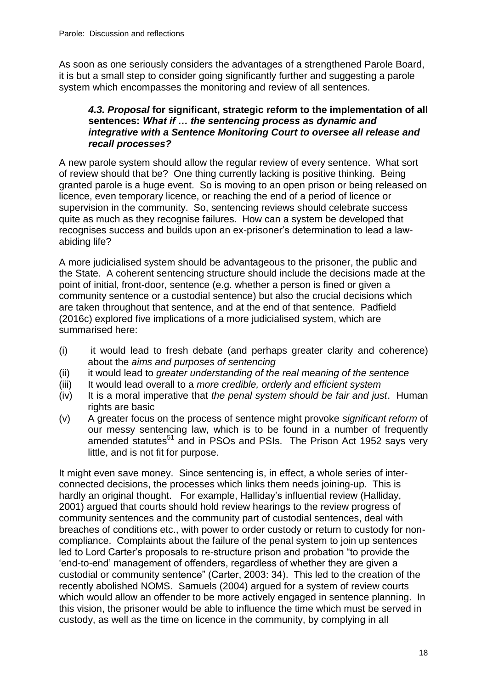As soon as one seriously considers the advantages of a strengthened Parole Board, it is but a small step to consider going significantly further and suggesting a parole system which encompasses the monitoring and review of all sentences.

#### *4.3. Proposal* **for significant, strategic reform to the implementation of all sentences:** *What if … the sentencing process as dynamic and integrative with a Sentence Monitoring Court to oversee all release and recall processes?*

A new parole system should allow the regular review of every sentence. What sort of review should that be? One thing currently lacking is positive thinking. Being granted parole is a huge event. So is moving to an open prison or being released on licence, even temporary licence, or reaching the end of a period of licence or supervision in the community. So, sentencing reviews should celebrate success quite as much as they recognise failures. How can a system be developed that recognises success and builds upon an ex-prisoner's determination to lead a lawabiding life?

A more judicialised system should be advantageous to the prisoner, the public and the State. A coherent sentencing structure should include the decisions made at the point of initial, front-door, sentence (e.g. whether a person is fined or given a community sentence or a custodial sentence) but also the crucial decisions which are taken throughout that sentence, and at the end of that sentence. Padfield (2016c) explored five implications of a more judicialised system, which are summarised here:

- (i) it would lead to fresh debate (and perhaps greater clarity and coherence) about the *aims and purposes of sentencing*
- (ii) it would lead to *greater understanding of the real meaning of the sentence*
- (iii) It would lead overall to a *more credible, orderly and efficient system*
- (iv) It is a moral imperative that *the penal system should be fair and just*. Human rights are basic
- (v) A greater focus on the process of sentence might provoke *significant reform* of our messy sentencing law, which is to be found in a number of frequently amended statutes<sup>51</sup> and in PSOs and PSIs. The Prison Act 1952 says very little, and is not fit for purpose.

It might even save money. Since sentencing is, in effect, a whole series of interconnected decisions, the processes which links them needs joining-up. This is hardly an original thought. For example, Halliday's influential review (Halliday, 2001) argued that courts should hold review hearings to the review progress of community sentences and the community part of custodial sentences, deal with breaches of conditions etc., with power to order custody or return to custody for noncompliance. Complaints about the failure of the penal system to join up sentences led to Lord Carter's proposals to re-structure prison and probation "to provide the 'end-to-end' management of offenders, regardless of whether they are given a custodial or community sentence" (Carter, 2003: 34). This led to the creation of the recently abolished NOMS. Samuels (2004) argued for a system of review courts which would allow an offender to be more actively engaged in sentence planning. In this vision, the prisoner would be able to influence the time which must be served in custody, as well as the time on licence in the community, by complying in all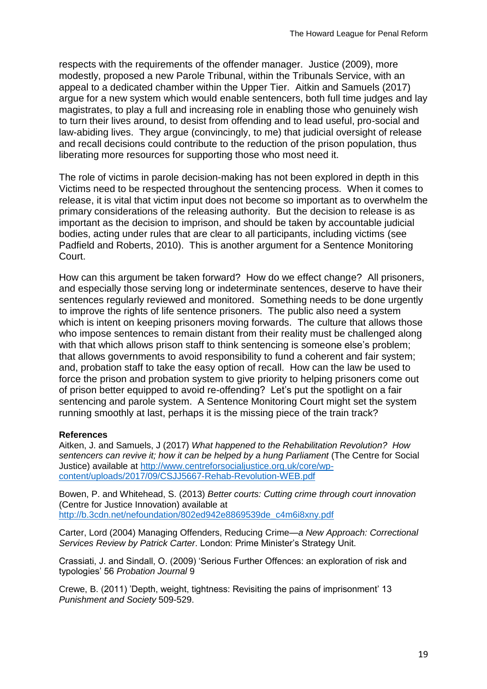respects with the requirements of the offender manager. Justice (2009), more modestly, proposed a new Parole Tribunal, within the Tribunals Service, with an appeal to a dedicated chamber within the Upper Tier. Aitkin and Samuels (2017) argue for a new system which would enable sentencers, both full time judges and lay magistrates, to play a full and increasing role in enabling those who genuinely wish to turn their lives around, to desist from offending and to lead useful, pro-social and law-abiding lives. They argue (convincingly, to me) that judicial oversight of release and recall decisions could contribute to the reduction of the prison population, thus liberating more resources for supporting those who most need it.

The role of victims in parole decision-making has not been explored in depth in this Victims need to be respected throughout the sentencing process. When it comes to release, it is vital that victim input does not become so important as to overwhelm the primary considerations of the releasing authority. But the decision to release is as important as the decision to imprison, and should be taken by accountable judicial bodies, acting under rules that are clear to all participants, including victims (see Padfield and Roberts, 2010). This is another argument for a Sentence Monitoring Court.

How can this argument be taken forward? How do we effect change? All prisoners, and especially those serving long or indeterminate sentences, deserve to have their sentences regularly reviewed and monitored. Something needs to be done urgently to improve the rights of life sentence prisoners. The public also need a system which is intent on keeping prisoners moving forwards. The culture that allows those who impose sentences to remain distant from their reality must be challenged along with that which allows prison staff to think sentencing is someone else's problem; that allows governments to avoid responsibility to fund a coherent and fair system; and, probation staff to take the easy option of recall. How can the law be used to force the prison and probation system to give priority to helping prisoners come out of prison better equipped to avoid re-offending? Let's put the spotlight on a fair sentencing and parole system. A Sentence Monitoring Court might set the system running smoothly at last, perhaps it is the missing piece of the train track?

#### **References**

Aitken, J. and Samuels, J (2017) *What happened to the Rehabilitation Revolution? How sentencers can revive it; how it can be helped by a hung Parliament* (The Centre for Social Justice) available at [http://www.centreforsocialjustice.org.uk/core/wp](http://www.centreforsocialjustice.org.uk/core/wp-content/uploads/2017/09/CSJJ5667-Rehab-Revolution-WEB.pdf)[content/uploads/2017/09/CSJJ5667-Rehab-Revolution-WEB.pdf](http://www.centreforsocialjustice.org.uk/core/wp-content/uploads/2017/09/CSJJ5667-Rehab-Revolution-WEB.pdf)

Bowen, P. and Whitehead, S. (2013) *Better courts: Cutting crime through court innovation* (Centre for Justice Innovation) available at [http://b.3cdn.net/nefoundation/802ed942e8869539de\\_c4m6i8xny.pdf](http://b.3cdn.net/nefoundation/802ed942e8869539de_c4m6i8xny.pdf)

Carter, Lord (2004) Managing Offenders, Reducing Crime*—a New Approach: Correctional Services Review by Patrick Carter*. London: Prime Minister's Strategy Unit.

Crassiati, J. and Sindall, O. (2009) 'Serious Further Offences: an exploration of risk and typologies' 56 *Probation Journal* 9

Crewe, B. (2011) 'Depth, weight, tightness: Revisiting the pains of imprisonment' 13 *Punishment and Society* 509-529.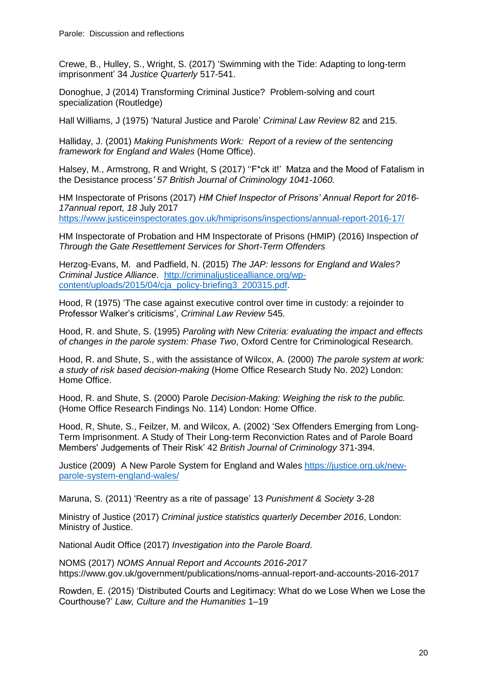Crewe, B., Hulley, S., Wright, S. (2017) 'Swimming with the Tide: Adapting to long-term imprisonment' 34 *Justice Quarterly* 517-541.

Donoghue, J (2014) Transforming Criminal Justice? Problem-solving and court specialization (Routledge)

Hall Williams, J (1975) 'Natural Justice and Parole' *Criminal Law Review* 82 and 215.

Halliday, J. (2001) *Making Punishments Work: Report of a review of the sentencing framework for England and Wales* (Home Office).

Halsey, M., Armstrong, R and Wright, S (2017) "F<sup>\*</sup>ck it!' Matza and the Mood of Fatalism in the Desistance process*' 57 British Journal of Criminology 1041-1060.*

HM Inspectorate of Prisons (2017) *HM Chief Inspector of Prisons' Annual Report for 2016- 17annual report, 18* July 2017 <https://www.justiceinspectorates.gov.uk/hmiprisons/inspections/annual-report-2016-17/>

HM Inspectorate of Probation and HM Inspectorate of Prisons (HMIP) (2016) Inspection *of Through the Gate Resettlement Services for Short-Term Offenders*

Herzog-Evans, M. and Padfield, N. (2015) *The JAP: lessons for England and Wales? Criminal Justice Alliance*. [http://criminaljusticealliance.org/wp](http://criminaljusticealliance.org/wp-content/uploads/2015/04/cja_policy-briefing3_200315.pdf)[content/uploads/2015/04/cja\\_policy-briefing3\\_200315.pdf.](http://criminaljusticealliance.org/wp-content/uploads/2015/04/cja_policy-briefing3_200315.pdf)

Hood, R (1975) 'The case against executive control over time in custody: a rejoinder to Professor Walker's criticisms', *Criminal Law Review* 545.

Hood, R. and Shute, S. (1995) *Paroling with New Criteria: evaluating the impact and effects of changes in the parole system: Phase Two*, Oxford Centre for Criminological Research.

Hood, R. and Shute, S., with the assistance of Wilcox, A. (2000) *The parole system at work: a study of risk based decision-making* (Home Office Research Study No. 202) London: Home Office.

Hood, R. and Shute, S. (2000) Parole *Decision-Making: Weighing the risk to the public.*  (Home Office Research Findings No. 114) London: Home Office.

Hood, R, Shute, S., Feilzer, M. and Wilcox, A. (2002) 'Sex Offenders Emerging from Long‐ Term Imprisonment. A Study of Their Long‐term Reconviction Rates and of Parole Board Members' Judgements of Their Risk' 42 *British Journal of Criminology* 371-394.

Justice (2009) A New Parole System for England and Wales [https://justice.org.uk/new](https://justice.org.uk/new-parole-system-england-wales/)[parole-system-england-wales/](https://justice.org.uk/new-parole-system-england-wales/)

Maruna, S. (2011) 'Reentry as a rite of passage' 13 *Punishment & Society* 3-28

Ministry of Justice (2017) *Criminal justice statistics quarterly December 2016*, London: Ministry of Justice.

National Audit Office (2017) *Investigation into the Parole Board*.

NOMS (2017) *NOMS Annual Report and Accounts 2016-2017*  https://www.gov.uk/government/publications/noms-annual-report-and-accounts-2016-2017

Rowden, E. (2015) 'Distributed Courts and Legitimacy: What do we Lose When we Lose the Courthouse?' *Law, Culture and the Humanities* 1–19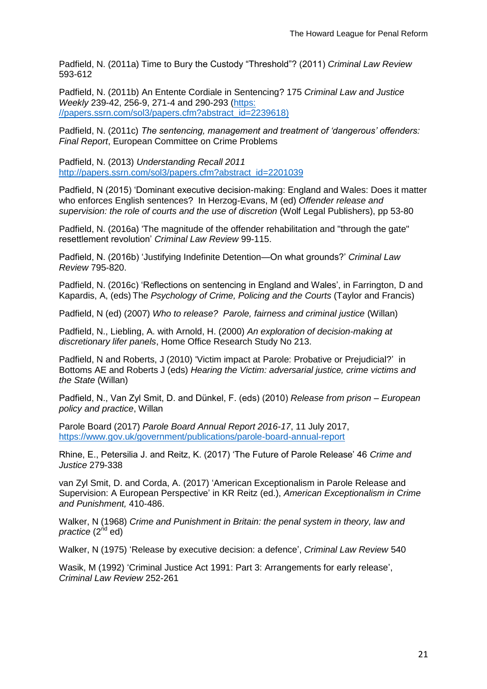Padfield, N. (2011a) Time to Bury the Custody "Threshold"? (2011) *Criminal Law Review* 593-612

Padfield, N. (2011b) An Entente Cordiale in Sentencing? 175 *Criminal Law and Justice Weekly* 239-42, 256-9, 271-4 and 290-293 [\(https:](https://papers.ssrn.com/sol3/papers.cfm?abstract_id=2239618))  [//papers.ssrn.com/sol3/papers.cfm?abstract\\_id=2239618\)](https://papers.ssrn.com/sol3/papers.cfm?abstract_id=2239618))

Padfield, N. (2011c) *The sentencing, management and treatment of 'dangerous' offenders: Final Report*, European Committee on Crime Problems

Padfield, N. (2013) *Understanding Recall 2011* [http://papers.ssrn.com/sol3/papers.cfm?abstract\\_id=2201039](http://papers.ssrn.com/sol3/papers.cfm?abstract_id=2201039)

Padfield, N (2015) 'Dominant executive decision-making: England and Wales: Does it matter who enforces English sentences? In Herzog-Evans, M (ed) *Offender release and supervision: the role of courts and the use of discretion* (Wolf Legal Publishers), pp 53-80

Padfield, N. (2016a) 'The magnitude of the offender rehabilitation and "through the gate" resettlement revolution' *Criminal Law Review* 99-115.

Padfield, N. (2016b) 'Justifying Indefinite Detention—On what grounds?' *Criminal Law Review* 795-820.

Padfield, N. (2016c) 'Reflections on sentencing in England and Wales', in Farrington, D and Kapardis, A, (eds) The *Psychology of Crime, Policing and the Courts* (Taylor and Francis)

Padfield, N (ed) (2007) *Who to release? Parole, fairness and criminal justice* (Willan)

Padfield, N., Liebling, A. with Arnold, H. (2000) *An exploration of decision-making at discretionary lifer panels*, Home Office Research Study No 213.

Padfield, N and Roberts, J (2010) 'Victim impact at Parole: Probative or Prejudicial?' in Bottoms AE and Roberts J (eds) *Hearing the Victim: adversarial justice, crime victims and the State* (Willan)

Padfield, N., Van Zyl Smit, D. and Dünkel, F. (eds) (2010) *Release from prison – European policy and practice*, Willan

Parole Board (2017) *Parole Board Annual Report 2016-17*, 11 July 2017, <https://www.gov.uk/government/publications/parole-board-annual-report>

Rhine, E., Petersilia J. and Reitz, K. (2017) 'The Future of Parole Release' 46 *Crime and Justice* 279-338

van Zyl Smit, D. and [Corda, A.](https://pure.qub.ac.uk/portal/en/persons/alessandro-corda(96be0e75-f810-4f7d-a89e-4ce1cc059515).html) (2017) ['American Exceptionalism in Parole Release and](https://pure.qub.ac.uk/portal/en/publications/american-exceptionalism-in-parole-release-and-supervision-a-european-perspective(124be067-9778-4705-a871-b210be81ec96).html)  [Supervision: A European Perspective'](https://pure.qub.ac.uk/portal/en/publications/american-exceptionalism-in-parole-release-and-supervision-a-european-perspective(124be067-9778-4705-a871-b210be81ec96).html) in KR Reitz (ed.), *American Exceptionalism in Crime and Punishment,* 410-486.

Walker, N (1968) *Crime and Punishment in Britain: the penal system in theory, law and practice* (2<sup>nd</sup> ed)

Walker, N (1975) 'Release by executive decision: a defence', *Criminal Law Review* 540

Wasik, M (1992) 'Criminal Justice Act 1991: Part 3: Arrangements for early release', *Criminal Law Review* 252-261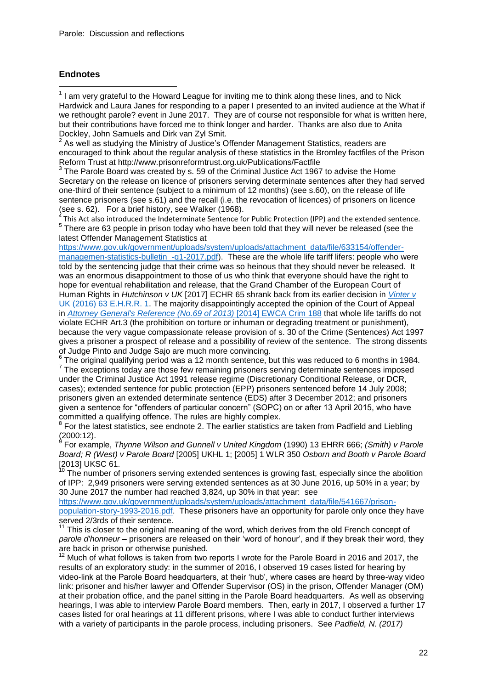#### **Endnotes**

 1 I am very grateful to the Howard League for inviting me to think along these lines, and to Nick Hardwick and Laura Janes for responding to a paper I presented to an invited audience at the What if we rethought parole? event in June 2017. They are of course not responsible for what is written here, but their contributions have forced me to think longer and harder. Thanks are also due to Anita

Dockley, John Samuels and Dirk van Zyl Smit.<br><sup>2</sup> As well as studying the Ministry of Justice's Offender Management Statistics, readers are encouraged to think about the regular analysis of these statistics in the Bromley factfiles of the Prison Reform Trust at http://www.prisonreformtrust.org.uk/Publications/Factfile

 $3$  The Parole Board was created by s. 59 of the Criminal Justice Act 1967 to advise the Home Secretary on the release on licence of prisoners serving determinate sentences after they had served one-third of their sentence (subject to a minimum of 12 months) (see s.60), on the release of life sentence prisoners (see s.61) and the recall (i.e. the revocation of licences) of prisoners on licence (see s. 62). For a brief history, see Walker (1968).<br><sup>4</sup> This Act also introduced the Indeterminate Sentence fo

This Act also introduced the Indeterminate Sentence for Public Protection (IPP) and the extended sentence.  $^5$  There are 63 people in prison today who have been told that they will never be released (see the latest Offender Management Statistics at

[https://www.gov.uk/government/uploads/system/uploads/attachment\\_data/file/633154/offender](https://www.gov.uk/government/uploads/system/uploads/attachment_data/file/633154/offender-managemen-statistics-bulletin_-q1-2017.pdf)managemen-statistics-bulletin -q1-2017.pdf). These are the whole life tariff lifers: people who were told by the sentencing judge that their crime was so heinous that they should never be released. It was an enormous disappointment to those of us who think that everyone should have the right to hope for eventual rehabilitation and release, that the Grand Chamber of the European Court of Human Rights in *Hutchinson v UK* [2017] ECHR 65 shrank back from its earlier decision in *[Vinter](http://login.westlaw.co.uk/maf/wluk/app/document?src=doc&linktype=ref&context=16&crumb-action=replace&docguid=IA3B5DEF0E9F911E292B8E54A2E2BA1FB) v*  [UK \(2016\) 63 E.H.R.R. 1.](http://login.westlaw.co.uk/maf/wluk/app/document?src=doc&linktype=ref&context=16&crumb-action=replace&docguid=IA3B5DEF0E9F911E292B8E54A2E2BA1FB) The majority disappointingly accepted the opinion of the Court of Appeal in *[Attorney General's Reference \(No.69 of 2013\)](http://login.westlaw.co.uk/maf/wluk/app/document?src=doc&linktype=ref&context=16&crumb-action=replace&docguid=IF25F496098F411E3BA6F8884B6562510)* [2014] EWCA Crim 188 that whole life tariffs do not violate ECHR Art.3 (the prohibition on torture or inhuman or degrading treatment or punishment), because the very vague compassionate release provision of s. 30 of the Crime (Sentences) Act 1997 gives a prisoner a prospect of release and a possibility of review of the sentence. The strong dissents of Judge Pinto and Judge Sajo are much more convincing.

6 The original qualifying period was a 12 month sentence, but this was reduced to 6 months in 1984.  $7$  The exceptions today are those few remaining prisoners serving determinate sentences imposed under the Criminal Justice Act 1991 release regime (Discretionary Conditional Release, or DCR, cases); extended sentence for public protection (EPP) prisoners sentenced before 14 July 2008; prisoners given an extended determinate sentence (EDS) after 3 December 2012; and prisoners given a sentence for "offenders of particular concern" (SOPC) on or after 13 April 2015, who have committed a qualifying offence. The rules are highly complex.

 $8$  For the latest statistics, see endnote 2. The earlier statistics are taken from Padfield and Liebling (2000:12). 9

For example, *Thynne Wilson and Gunnell v United Kingdom* (1990) 13 EHRR 666; *(Smith) v Parole Board; R (West) v Parole Board* [2005] UKHL 1; [2005] 1 WLR 350 *Osborn and Booth v Parole Board*   $[2013]$  UKSC 61.

The number of prisoners serving extended sentences is growing fast, especially since the abolition of IPP: 2,949 prisoners were serving extended sentences as at 30 June 2016, up 50% in a year; by 30 June 2017 the number had reached 3,824, up 30% in that year: see

[https://www.gov.uk/government/uploads/system/uploads/attachment\\_data/file/541667/prison](https://www.gov.uk/government/uploads/system/uploads/attachment_data/file/541667/prison-population-story-1993-2016.pdf)[population-story-1993-2016.pdf.](https://www.gov.uk/government/uploads/system/uploads/attachment_data/file/541667/prison-population-story-1993-2016.pdf) These prisoners have an opportunity for parole only once they have served 2/3rds of their sentence.

This is closer to the original meaning of the word, which derives from the old French concept of *parole d'honneur* – prisoners are released on their 'word of honour', and if they break their word, they are back in prison or otherwise punished.

 $12$  Much of what follows is taken from two reports I wrote for the Parole Board in 2016 and 2017, the results of an exploratory study: in the summer of 2016, I observed 19 cases listed for hearing by video-link at the Parole Board headquarters, at their 'hub', where cases are heard by three-way video link: prisoner and his/her lawyer and Offender Supervisor (OS) in the prison, Offender Manager (OM) at their probation office, and the panel sitting in the Parole Board headquarters. As well as observing hearings, I was able to interview Parole Board members. Then, early in 2017, I observed a further 17 cases listed for oral hearings at 11 different prisons, where I was able to conduct further interviews with a variety of participants in the parole process, including prisoners. See *Padfield, N. (2017)*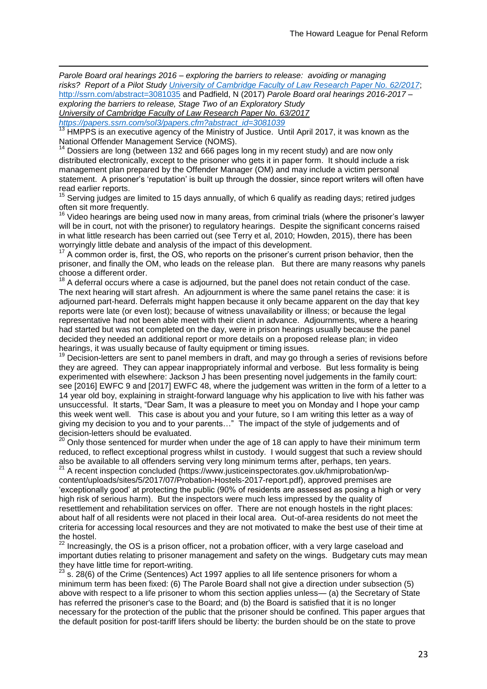i *Parole Board oral hearings 2016 – exploring the barriers to release: avoiding or managing risks? Report of a Pilot Study [University of Cambridge Faculty of Law Research Paper No. 62/2017](https://papers.ssrn.com/sol3/papers.cfm?abstract_id=3081035##)*; <http://ssrn.com/abstract=3081035> and Padfield, N (2017) *Parole Board oral hearings 2016-2017 – exploring the barriers to release, Stage Two of an Exploratory Study University of Cambridge Faculty of Law Research Paper No. 63/2017 [https://papers.ssrn.com/sol3/papers.cfm?abstract\\_id=3081039](https://papers.ssrn.com/sol3/papers.cfm?abstract_id=3081039)*

<sup>13</sup> HMPPS is an executive agency of the Ministry of Justice. Until April 2017, it was known as the National Offender Management Service (NOMS).

<sup>14</sup> Dossiers are long (between 132 and 666 pages long in my recent study) and are now only distributed electronically, except to the prisoner who gets it in paper form. It should include a risk management plan prepared by the Offender Manager (OM) and may include a victim personal statement. A prisoner's 'reputation' is built up through the dossier, since report writers will often have read earlier reports.

 $15$  Serving judges are limited to 15 days annually, of which 6 qualify as reading days; retired judges often sit more frequently.<br><sup>16</sup> Video

<sup>16</sup> Video hearings are being used now in many areas, from criminal trials (where the prisoner's lawyer will be in court, not with the prisoner) to regulatory hearings. Despite the significant concerns raised in what little research has been carried out (see Terry et al, 2010; Howden, 2015), there has been worryingly little debate and analysis of the impact of this development.

 $17$  A common order is, first, the OS, who reports on the prisoner's current prison behavior, then the prisoner, and finally the OM, who leads on the release plan. But there are many reasons why panels choose a different order.

 $18$  A deferral occurs where a case is adjourned, but the panel does not retain conduct of the case. The next hearing will start afresh. An adjournment is where the same panel retains the case: it is adjourned part-heard. Deferrals might happen because it only became apparent on the day that key reports were late (or even lost); because of witness unavailability or illness; or because the legal representative had not been able meet with their client in advance. Adjournments, where a hearing had started but was not completed on the day, were in prison hearings usually because the panel decided they needed an additional report or more details on a proposed release plan; in video hearings, it was usually because of faulty equipment or timing issues.

Decision-letters are sent to panel members in draft, and may go through a series of revisions before they are agreed. They can appear inappropriately informal and verbose. But less formality is being experimented with elsewhere: Jackson J has been presenting novel judgements in the family court: see [2016] EWFC 9 and [2017] EWFC 48, where the judgement was written in the form of a letter to a 14 year old boy, explaining in straight-forward language why his application to live with his father was unsuccessful. It starts, "Dear Sam, It was a pleasure to meet you on Monday and I hope your camp this week went well. This case is about you and your future, so I am writing this letter as a way of giving my decision to you and to your parents…" The impact of the style of judgements and of decision-letters should be evaluated.<br><sup>20</sup> Only these said.

<sup>20</sup> Only those sentenced for murder when under the age of 18 can apply to have their minimum term reduced, to reflect exceptional progress whilst in custody. I would suggest that such a review should also be available to all offenders serving very long minimum terms after, perhaps, ten years.

<sup>21</sup> A recent inspection concluded (https://www.justiceinspectorates.gov.uk/hmiprobation/wpcontent/uploads/sites/5/2017/07/Probation-Hostels-2017-report.pdf), approved premises are 'exceptionally good' at protecting the public (90% of residents are assessed as posing a high or very high risk of serious harm). But the inspectors were much less impressed by the quality of resettlement and rehabilitation services on offer. There are not enough hostels in the right places: about half of all residents were not placed in their local area. Out-of-area residents do not meet the criteria for accessing local resources and they are not motivated to make the best use of their time at the hostel.

 $^{22}$  Increasingly, the OS is a prison officer, not a probation officer, with a very large caseload and important duties relating to prisoner management and safety on the wings. Budgetary cuts may mean they have little time for report-writing.

 $23$  s. 28(6) of the Crime (Sentences) Act 1997 applies to all life sentence prisoners for whom a minimum term has been fixed: (6) The Parole Board shall not give a direction under subsection (5) above with respect to a life prisoner to whom this section applies unless— (a) the Secretary of State has referred the prisoner's case to the Board; and (b) the Board is satisfied that it is no longer necessary for the protection of the public that the prisoner should be confined. This paper argues that the default position for post-tariff lifers should be liberty: the burden should be on the state to prove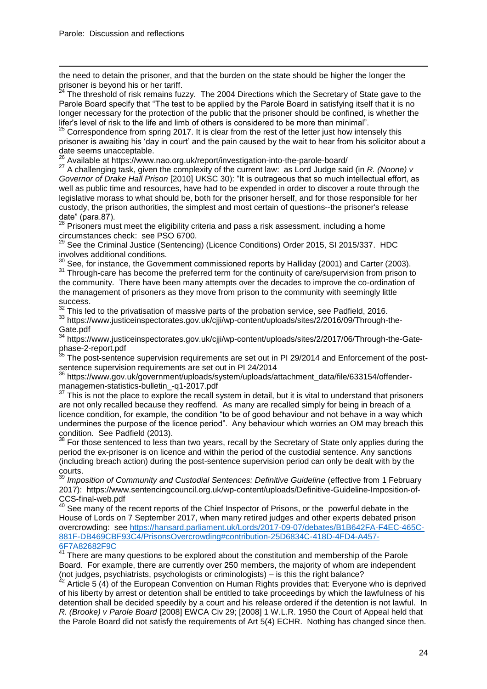i the need to detain the prisoner, and that the burden on the state should be higher the longer the prisoner is beyond his or her tariff.<br><sup>24</sup> The threak is the set of the set of the set of the set of the set of the set of the set of the set of the set of the set of the set of the set of the set of the set of the set of

The threshold of risk remains fuzzy. The 2004 Directions which the Secretary of State gave to the Parole Board specify that "The test to be applied by the Parole Board in satisfying itself that it is no longer necessary for the protection of the public that the prisoner should be confined, is whether the lifer's level of risk to the life and limb of others is considered to be more than minimal".

 $25$  Correspondence from spring 2017. It is clear from the rest of the letter just how intensely this prisoner is awaiting his 'day in court' and the pain caused by the wait to hear from his solicitor about a date seems unacceptable.

<sup>26</sup> Available at https://www.nao.org.uk/report/investigation-into-the-parole-board/

<sup>27</sup> A challenging task, given the complexity of the current law: as Lord Judge said (in *R. (Noone) v Governor of Drake Hall Prison* [2010] UKSC 30): "It is outrageous that so much intellectual effort, as well as public time and resources, have had to be expended in order to discover a route through the legislative morass to what should be, both for the prisoner herself, and for those responsible for her custody, the prison authorities, the simplest and most certain of questions--the prisoner's release date" (para.87).

 $^{28}$  Prisoners must meet the eligibility criteria and pass a risk assessment, including a home circumstances check: see PSO 6700.

<sup>29</sup> See the Criminal Justice (Sentencing) (Licence Conditions) Order 2015, SI 2015/337. HDC involves additional conditions.

 $30$  See, for instance, the Government commissioned reports by Halliday (2001) and Carter (2003).

<sup>31</sup> Through-care has become the preferred term for the continuity of care/supervision from prison to the community. There have been many attempts over the decades to improve the co-ordination of the management of prisoners as they move from prison to the community with seemingly little success.

 $\frac{32}{10}$  This led to the privatisation of massive parts of the probation service, see Padfield, 2016.

33 https://www.justiceinspectorates.gov.uk/cjji/wp-content/uploads/sites/2/2016/09/Through-the-Gate.pdf

<sup>34</sup> https://www.justiceinspectorates.gov.uk/cjji/wp-content/uploads/sites/2/2017/06/Through-the-Gatephase-2-report.pdf

The post-sentence supervision requirements are set out in PI 29/2014 and Enforcement of the postsentence supervision requirements are set out in PI 24/2014

<sup>36</sup> https://www.gov.uk/government/uploads/system/uploads/attachment\_data/file/633154/offendermanagemen-statistics-bulletin\_-q1-2017.pdf

 $37$  This is not the place to explore the recall system in detail, but it is vital to understand that prisoners are not only recalled because they reoffend. As many are recalled simply for being in breach of a licence condition, for example, the condition "to be of good behaviour and not behave in a way which undermines the purpose of the licence period". Any behaviour which worries an OM may breach this condition. See Padfield (2013).

For those sentenced to less than two years, recall by the Secretary of State only applies during the period the ex-prisoner is on licence and within the period of the custodial sentence. Any sanctions (including breach action) during the post-sentence supervision period can only be dealt with by the courts.

<sup>39</sup> Imposition of Community and Custodial Sentences: Definitive Guideline (effective from 1 February 2017): https://www.sentencingcouncil.org.uk/wp-content/uploads/Definitive-Guideline-Imposition-of-CCS-final-web.pdf

40 See many of the recent reports of the Chief Inspector of Prisons, or the powerful debate in the House of Lords on 7 September 2017, when many retired judges and other experts debated prison overcrowding: see [https://hansard.parliament.uk/Lords/2017-09-07/debates/B1B642FA-F4EC-465C-](https://hansard.parliament.uk/Lords/2017-09-07/debates/B1B642FA-F4EC-465C-881F-DB469CBF93C4/PrisonsOvercrowding#contribution-25D6834C-418D-4FD4-A457-6F7A82682F9C)[881F-DB469CBF93C4/PrisonsOvercrowding#contribution-25D6834C-418D-4FD4-A457-](https://hansard.parliament.uk/Lords/2017-09-07/debates/B1B642FA-F4EC-465C-881F-DB469CBF93C4/PrisonsOvercrowding#contribution-25D6834C-418D-4FD4-A457-6F7A82682F9C) [6F7A82682F9C](https://hansard.parliament.uk/Lords/2017-09-07/debates/B1B642FA-F4EC-465C-881F-DB469CBF93C4/PrisonsOvercrowding#contribution-25D6834C-418D-4FD4-A457-6F7A82682F9C)

There are many questions to be explored about the constitution and membership of the Parole Board. For example, there are currently over 250 members, the majority of whom are independent (not judges, psychiatrists, psychologists or criminologists) – is this the right balance?

Article 5 (4) of the European Convention on Human Rights provides that: Everyone who is deprived of his liberty by arrest or detention shall be entitled to take proceedings by which the lawfulness of his detention shall be decided speedily by a court and his release ordered if the detention is not lawful. In *R. (Brooke) v Parole Board* [2008] EWCA Civ 29; [2008] 1 W.L.R. 1950 the Court of Appeal held that the Parole Board did not satisfy the requirements of Art 5(4) ECHR. Nothing has changed since then.